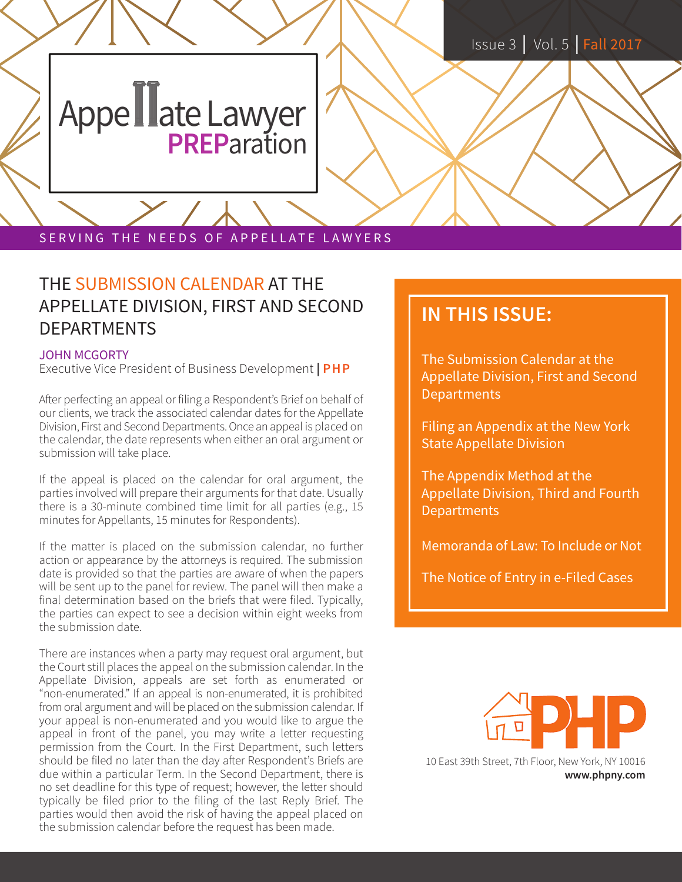## Appe Lawyer

SERVING THE NEEDS OF APPELLATE LAWYERS

#### THE SUBMISSION CALENDAR AT THE APPELLATE DIVISION, FIRST AND SECOND DEPARTMENTS

#### JOHN MCGORTY

Executive Vice President of Business Development **| PHP**

After perfecting an appeal or filing a Respondent's Brief on behalf of our clients, we track the associated calendar dates for the Appellate Division, First and Second Departments. Once an appeal is placed on the calendar, the date represents when either an oral argument or submission will take place.

If the appeal is placed on the calendar for oral argument, the parties involved will prepare their arguments for that date. Usually there is a 30-minute combined time limit for all parties (e.g., 15 minutes for Appellants, 15 minutes for Respondents).

If the matter is placed on the submission calendar, no further action or appearance by the attorneys is required. The submission date is provided so that the parties are aware of when the papers will be sent up to the panel for review. The panel will then make a final determination based on the briefs that were filed. Typically, the parties can expect to see a decision within eight weeks from the submission date.

There are instances when a party may request oral argument, but the Court still places the appeal on the submission calendar. In the Appellate Division, appeals are set forth as enumerated or "non-enumerated." If an appeal is non-enumerated, it is prohibited from oral argument and will be placed on the submission calendar. If your appeal is non-enumerated and you would like to argue the appeal in front of the panel, you may write a letter requesting permission from the Court. In the First Department, such letters should be filed no later than the day after Respondent's Briefs are due within a particular Term. In the Second Department, there is no set deadline for this type of request; however, the letter should typically be filed prior to the filing of the last Reply Brief. The parties would then avoid the risk of having the appeal placed on the submission calendar before the request has been made.

### **IN THIS ISSUE:**

The Submission Calendar at the Appellate Division, First and Second **Departments** 

Filing an Appendix at the New York State Appellate Division

The Appendix Method at the Appellate Division, Third and Fourth **Departments** 

Memoranda of Law: To Include or Not

The Notice of Entry in e-Filed Cases



10 East 39th Street, 7th Floor, New York, NY 10016 **www.phpny.com**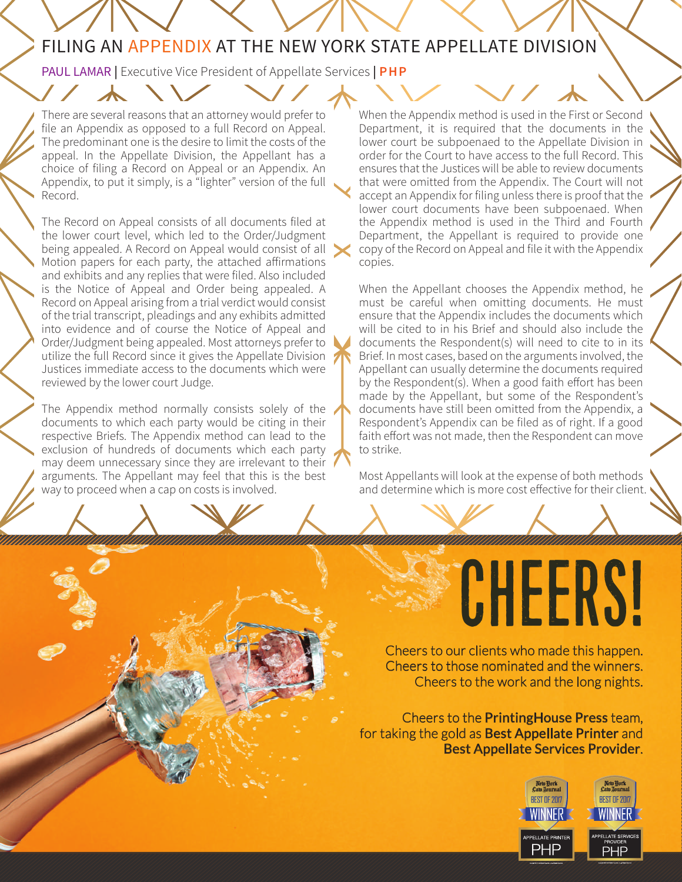#### FILING AN APPENDIX AT THE NEW YORK STATE APPELLATE DIVISION

PAUL LAMAR **|** Executive Vice President of Appellate Services **| PHP**

There are several reasons that an attorney would prefer to file an Appendix as opposed to a full Record on Appeal. The predominant one is the desire to limit the costs of the appeal. In the Appellate Division, the Appellant has a choice of filing a Record on Appeal or an Appendix. An Appendix, to put it simply, is a "lighter" version of the full Record.

The Record on Appeal consists of all documents filed at the lower court level, which led to the Order/Judgment being appealed. A Record on Appeal would consist of all Motion papers for each party, the attached affirmations and exhibits and any replies that were filed. Also included is the Notice of Appeal and Order being appealed. A Record on Appeal arising from a trial verdict would consist of the trial transcript, pleadings and any exhibits admitted into evidence and of course the Notice of Appeal and Order/Judgment being appealed. Most attorneys prefer to utilize the full Record since it gives the Appellate Division Justices immediate access to the documents which were reviewed by the lower court Judge.

The Appendix method normally consists solely of the documents to which each party would be citing in their respective Briefs. The Appendix method can lead to the exclusion of hundreds of documents which each party may deem unnecessary since they are irrelevant to their arguments. The Appellant may feel that this is the best way to proceed when a cap on costs is involved.

When the Appendix method is used in the First or Second Department, it is required that the documents in the lower court be subpoenaed to the Appellate Division in order for the Court to have access to the full Record. This ensures that the Justices will be able to review documents that were omitted from the Appendix. The Court will not accept an Appendix for filing unless there is proof that the lower court documents have been subpoenaed. When the Appendix method is used in the Third and Fourth Department, the Appellant is required to provide one copy of the Record on Appeal and file it with the Appendix copies.

When the Appellant chooses the Appendix method, he must be careful when omitting documents. He must ensure that the Appendix includes the documents which will be cited to in his Brief and should also include the documents the Respondent(s) will need to cite to in its Brief. In most cases, based on the arguments involved, the Appellant can usually determine the documents required by the Respondent(s). When a good faith effort has been made by the Appellant, but some of the Respondent's documents have still been omitted from the Appendix, a Respondent's Appendix can be filed as of right. If a good faith effort was not made, then the Respondent can move to strike.

Most Appellants will look at the expense of both methods and determine which is more cost effective for their client.

# CHEERS!

Cheers to our clients who made this happen. Cheers to those nominated and the winners. Cheers to the work and the long nights.

Cheers to the PrintingHouse Press team, for taking the gold as **Best Appellate Printer** and Best Appellate Services Provider.

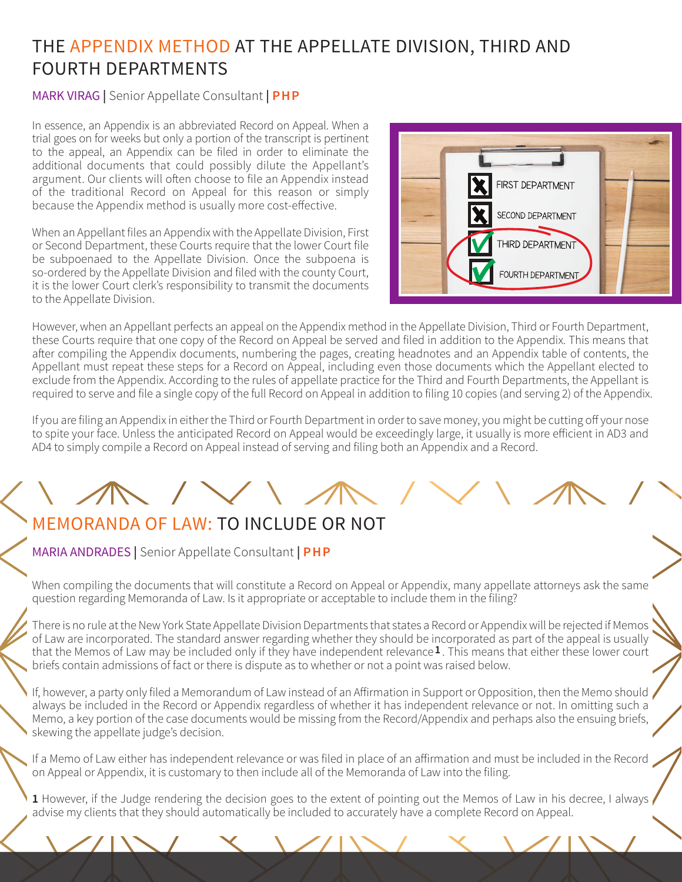#### THE APPENDIX METHOD AT THE APPELLATE DIVISION, THIRD AND FOURTH DEPARTMENTS

#### MARK VIRAG **|** Senior Appellate Consultant **| PHP**

In essence, an Appendix is an abbreviated Record on Appeal. When a trial goes on for weeks but only a portion of the transcript is pertinent to the appeal, an Appendix can be filed in order to eliminate the additional documents that could possibly dilute the Appellant's argument. Our clients will often choose to file an Appendix instead of the traditional Record on Appeal for this reason or simply because the Appendix method is usually more cost-effective.

When an Appellant files an Appendix with the Appellate Division, First or Second Department, these Courts require that the lower Court file be subpoenaed to the Appellate Division. Once the subpoena is so-ordered by the Appellate Division and filed with the county Court, it is the lower Court clerk's responsibility to transmit the documents to the Appellate Division.



However, when an Appellant perfects an appeal on the Appendix method in the Appellate Division, Third or Fourth Department, these Courts require that one copy of the Record on Appeal be served and filed in addition to the Appendix. This means that after compiling the Appendix documents, numbering the pages, creating headnotes and an Appendix table of contents, the Appellant must repeat these steps for a Record on Appeal, including even those documents which the Appellant elected to exclude from the Appendix. According to the rules of appellate practice for the Third and Fourth Departments, the Appellant is required to serve and file a single copy of the full Record on Appeal in addition to filing 10 copies (and serving 2) of the Appendix.

If you are filing an Appendix in either the Third or Fourth Department in order to save money, you might be cutting off your nose to spite your face. Unless the anticipated Record on Appeal would be exceedingly large, it usually is more efficient in AD3 and AD4 to simply compile a Record on Appeal instead of serving and filing both an Appendix and a Record.

### MEMORANDA OF LAW: TO INCLUDE OR NOT

MARIA ANDRADES **|** Senior Appellate Consultant **| PHP**

When compiling the documents that will constitute a Record on Appeal or Appendix, many appellate attorneys ask the same question regarding Memoranda of Law. Is it appropriate or acceptable to include them in the filing?

There is no rule at the New York State Appellate Division Departments that states a Record or Appendix will be rejected if Memos of Law are incorporated. The standard answer regarding whether they should be incorporated as part of the appeal is usually that the Memos of Law may be included only if they have independent relevance  $1$ . This means that either these lower court briefs contain admissions of fact or there is dispute as to whether or not a point was raised below.

If, however, a party only filed a Memorandum of Law instead of an Affirmation in Support or Opposition, then the Memo should always be included in the Record or Appendix regardless of whether it has independent relevance or not. In omitting such a Memo, a key portion of the case documents would be missing from the Record/Appendix and perhaps also the ensuing briefs, skewing the appellate judge's decision.

If a Memo of Law either has independent relevance or was filed in place of an affirmation and must be included in the Record on Appeal or Appendix, it is customary to then include all of the Memoranda of Law into the filing.

**1** However, if the Judge rendering the decision goes to the extent of pointing out the Memos of Law in his decree, I always advise my clients that they should automatically be included to accurately have a complete Record on Appeal.